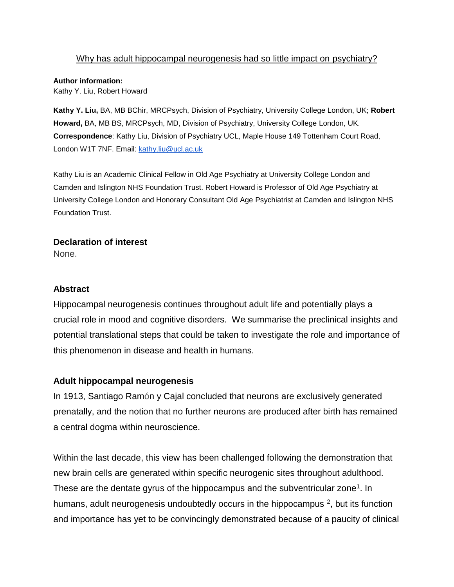## Why has adult hippocampal neurogenesis had so little impact on psychiatry?

### **Author information:**

Kathy Y. Liu, Robert Howard

**Kathy Y. Liu,** BA, MB BChir, MRCPsych, Division of Psychiatry, University College London, UK; **Robert Howard,** BA, MB BS, MRCPsych, MD, Division of Psychiatry, University College London, UK. **Correspondence**: Kathy Liu, Division of Psychiatry UCL, Maple House 149 Tottenham Court Road, London W1T 7NF. Email: [kathy.liu@ucl.ac.uk](mailto:kathy.liu@ucl.ac.uk)

Kathy Liu is an Academic Clinical Fellow in Old Age Psychiatry at University College London and Camden and Islington NHS Foundation Trust. Robert Howard is Professor of Old Age Psychiatry at University College London and Honorary Consultant Old Age Psychiatrist at Camden and Islington NHS Foundation Trust.

### **Declaration of interest**

None.

# **Abstract**

Hippocampal neurogenesis continues throughout adult life and potentially plays a crucial role in mood and cognitive disorders. We summarise the preclinical insights and potential translational steps that could be taken to investigate the role and importance of this phenomenon in disease and health in humans.

### **Adult hippocampal neurogenesis**

In 1913, Santiago Ramón y Cajal concluded that neurons are exclusively generated prenatally, and the notion that no further neurons are produced after birth has remained a central dogma within neuroscience.

Within the last decade, this view has been challenged following the demonstration that new brain cells are generated within specific neurogenic sites throughout adulthood. These are the dentate gyrus of the hippocampus and the subventricular zone<sup>[1](https://paperpile.com/c/Bf7Ehr/0OUjh)</sup>. In humans, adult neurogenesis undoubtedly occurs in the hippocampus  $2$ , but its function and importance has yet to be convincingly demonstrated because of a paucity of clinical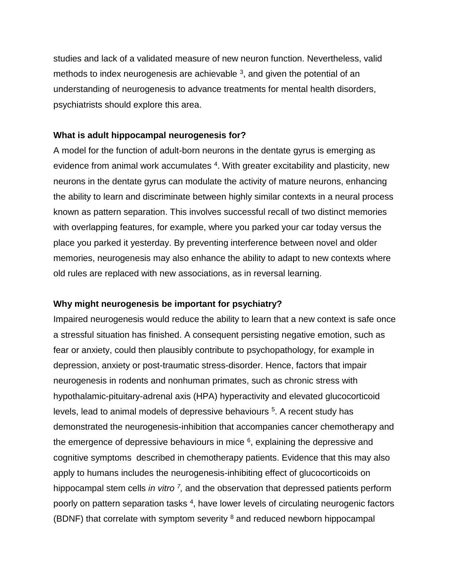studies and lack of a validated measure of new neuron function. Nevertheless, valid methods to index neurogenesis are achievable  $3$ , and given the potential of an understanding of neurogenesis to advance treatments for mental health disorders, psychiatrists should explore this area.

#### **What is adult hippocampal neurogenesis for?**

A model for the function of adult-born neurons in the dentate gyrus is emerging as evidence from animal work accumulates <sup>[4](https://paperpile.com/c/Bf7Ehr/xCWz)</sup>. With greater excitability and plasticity, new neurons in the dentate gyrus can modulate the activity of mature neurons, enhancing the ability to learn and discriminate between highly similar contexts in a neural process known as pattern separation. This involves successful recall of two distinct memories with overlapping features, for example, where you parked your car today versus the place you parked it yesterday. By preventing interference between novel and older memories, neurogenesis may also enhance the ability to adapt to new contexts where old rules are replaced with new associations, as in reversal learning.

### **Why might neurogenesis be important for psychiatry?**

Impaired neurogenesis would reduce the ability to learn that a new context is safe once a stressful situation has finished. A consequent persisting negative emotion, such as fear or anxiety, could then plausibly contribute to psychopathology, for example in depression, anxiety or post-traumatic stress-disorder. Hence, factors that impair neurogenesis in rodents and nonhuman primates, such as chronic stress with hypothalamic-pituitary-adrenal axis (HPA) hyperactivity and elevated glucocorticoid levels, lead to animal models of depressive behaviours <sup>[5](https://paperpile.com/c/Bf7Ehr/OKZGR)</sup>. A recent study has demonstrated the neurogenesis-inhibition that accompanies cancer chemotherapy and the emergence of depressive behaviours in mice  $6$ , explaining the depressive and cognitive symptoms described in chemotherapy patients. Evidence that this may also apply to humans includes the neurogenesis-inhibiting effect of glucocorticoids on hippocampal stem cells *in vitro* <sup>[7](https://paperpile.com/c/Bf7Ehr/Vubf)</sup>, and the observation that depressed patients perform poorly on pattern separation tasks <sup>[4](https://paperpile.com/c/Bf7Ehr/xCWz)</sup>, have lower levels of circulating neurogenic factors (BDNF) that correlate with symptom severity  $8$  and reduced newborn hippocampal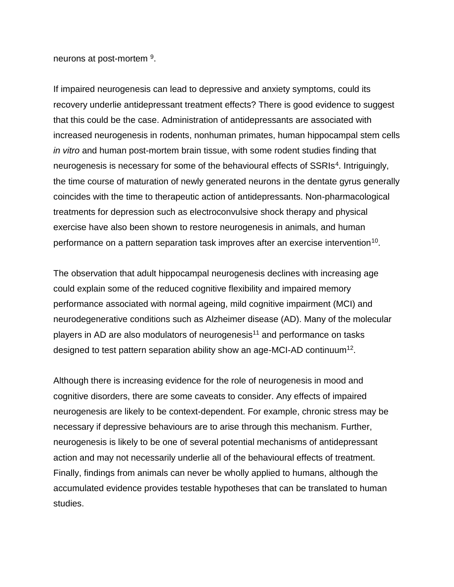neurons at post-mortem <sup>[9](https://paperpile.com/c/Bf7Ehr/Vtj5B)</sup>.

If impaired neurogenesis can lead to depressive and anxiety symptoms, could its recovery underlie antidepressant treatment effects? There is good evidence to suggest that this could be the case. Administration of antidepressants are associated with increased neurogenesis in rodents, nonhuman primates, human hippocampal stem cells *in vitro* and human post-mortem brain tissue, with some rodent studies finding that neurogenesis is necessary for some of the behavioural effects of SSRIs<sup>[4](https://paperpile.com/c/Bf7Ehr/xCWz)</sup>. Intriguingly, the time course of maturation of newly generated neurons in the dentate gyrus generally coincides with the time to therapeutic action of antidepressants. Non-pharmacological treatments for depression such as electroconvulsive shock therapy and physical exercise have also been shown to restore neurogenesis in animals, and human performance on a pattern separation task improves after an exercise intervention<sup>[10](https://paperpile.com/c/Bf7Ehr/zFADd)</sup>.

The observation that adult hippocampal neurogenesis declines with increasing age could explain some of the reduced cognitive flexibility and impaired memory performance associated with normal ageing, mild cognitive impairment (MCI) and neurodegenerative conditions such as Alzheimer disease (AD). Many of the molecular players in AD are also modulators of neurogenesis<sup>[11](https://paperpile.com/c/Bf7Ehr/VjUAb)</sup> and performance on tasks designed to test pattern separation ability show an age-MCI-AD continuum<sup>[12](https://paperpile.com/c/Bf7Ehr/PqWFU)</sup>.

Although there is increasing evidence for the role of neurogenesis in mood and cognitive disorders, there are some caveats to consider. Any effects of impaired neurogenesis are likely to be context-dependent. For example, chronic stress may be necessary if depressive behaviours are to arise through this mechanism. Further, neurogenesis is likely to be one of several potential mechanisms of antidepressant action and may not necessarily underlie all of the behavioural effects of treatment. Finally, findings from animals can never be wholly applied to humans, although the accumulated evidence provides testable hypotheses that can be translated to human studies.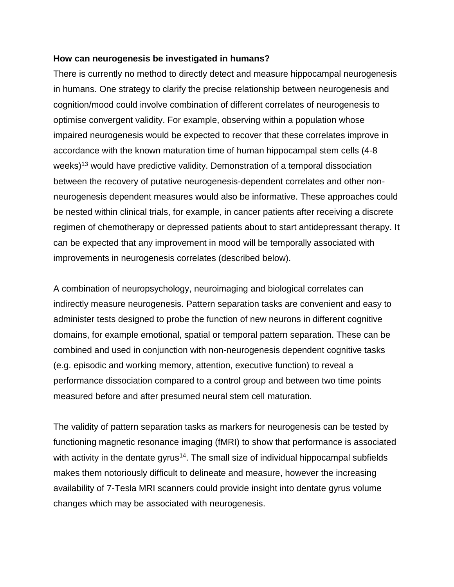### **How can neurogenesis be investigated in humans?**

There is currently no method to directly detect and measure hippocampal neurogenesis in humans. One strategy to clarify the precise relationship between neurogenesis and cognition/mood could involve combination of different correlates of neurogenesis to optimise convergent validity. For example, observing within a population whose impaired neurogenesis would be expected to recover that these correlates improve in accordance with the known maturation time of human hippocampal stem cells (4-8 weeks)<sup>[13](https://paperpile.com/c/Bf7Ehr/8pleG)</sup> would have predictive validity. Demonstration of a temporal dissociation between the recovery of putative neurogenesis-dependent correlates and other nonneurogenesis dependent measures would also be informative. These approaches could be nested within clinical trials, for example, in cancer patients after receiving a discrete regimen of chemotherapy or depressed patients about to start antidepressant therapy. It can be expected that any improvement in mood will be temporally associated with improvements in neurogenesis correlates (described below).

A combination of neuropsychology, neuroimaging and biological correlates can indirectly measure neurogenesis. Pattern separation tasks are convenient and easy to administer tests designed to probe the function of new neurons in different cognitive domains, for example emotional, spatial or temporal pattern separation. These can be combined and used in conjunction with non-neurogenesis dependent cognitive tasks (e.g. episodic and working memory, attention, executive function) to reveal a performance dissociation compared to a control group and between two time points measured before and after presumed neural stem cell maturation.

The validity of pattern separation tasks as markers for neurogenesis can be tested by functioning magnetic resonance imaging (fMRI) to show that performance is associated with activity in the dentate gyrus<sup>[14](https://paperpile.com/c/Bf7Ehr/zaR3D)</sup>. The small size of individual hippocampal subfields makes them notoriously difficult to delineate and measure, however the increasing availability of 7-Tesla MRI scanners could provide insight into dentate gyrus volume changes which may be associated with neurogenesis.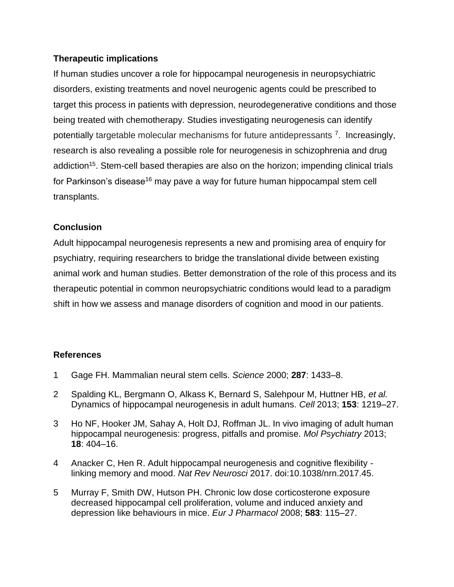## **Therapeutic implications**

If human studies uncover a role for hippocampal neurogenesis in neuropsychiatric disorders, existing treatments and novel neurogenic agents could be prescribed to target this process in patients with depression, neurodegenerative conditions and those being treated with chemotherapy. Studies investigating neurogenesis can identify potentially targetable molecular mechanisms for future antidepressants<sup>[7](https://paperpile.com/c/Bf7Ehr/Vubf)</sup>. Increasingly, research is also revealing a possible role for neurogenesis in schizophrenia and drug addiction<sup>[15](https://paperpile.com/c/Bf7Ehr/q7IW)</sup>. Stem-cell based therapies are also on the horizon; impending clinical trials for Parkinson's disease<sup>[16](https://paperpile.com/c/Bf7Ehr/CoGzC)</sup> may pave a way for future human hippocampal stem cell transplants.

## **Conclusion**

Adult hippocampal neurogenesis represents a new and promising area of enquiry for psychiatry, requiring researchers to bridge the translational divide between existing animal work and human studies. Better demonstration of the role of this process and its therapeutic potential in common neuropsychiatric conditions would lead to a paradigm shift in how we assess and manage disorders of cognition and mood in our patients.

# **References**

- 1 [Gage FH. Mammalian neural stem cells.](http://paperpile.com/b/Bf7Ehr/0OUjh) *[Science](http://paperpile.com/b/Bf7Ehr/0OUjh)* [2000;](http://paperpile.com/b/Bf7Ehr/0OUjh) **[287](http://paperpile.com/b/Bf7Ehr/0OUjh)**[: 1433–8.](http://paperpile.com/b/Bf7Ehr/0OUjh)
- 2 [Spalding KL, Bergmann O, Alkass K, Bernard S, Salehpour M, Huttner HB,](http://paperpile.com/b/Bf7Ehr/9vof) *[et al.](http://paperpile.com/b/Bf7Ehr/9vof)* [Dynamics of hippocampal neurogenesis in adult humans.](http://paperpile.com/b/Bf7Ehr/9vof) *[Cell](http://paperpile.com/b/Bf7Ehr/9vof)* [2013;](http://paperpile.com/b/Bf7Ehr/9vof) **[153](http://paperpile.com/b/Bf7Ehr/9vof)**[: 1219–27.](http://paperpile.com/b/Bf7Ehr/9vof)
- 3 [Ho NF, Hooker JM, Sahay A, Holt DJ, Roffman JL. In vivo imaging of adult human](http://paperpile.com/b/Bf7Ehr/JteNs)  [hippocampal neurogenesis: progress, pitfalls and promise.](http://paperpile.com/b/Bf7Ehr/JteNs) *[Mol Psychiatry](http://paperpile.com/b/Bf7Ehr/JteNs)* [2013;](http://paperpile.com/b/Bf7Ehr/JteNs)  **[18](http://paperpile.com/b/Bf7Ehr/JteNs)**[: 404–16.](http://paperpile.com/b/Bf7Ehr/JteNs)
- 4 [Anacker C, Hen R. Adult hippocampal neurogenesis and cognitive flexibility](http://paperpile.com/b/Bf7Ehr/xCWz)  [linking memory and mood.](http://paperpile.com/b/Bf7Ehr/xCWz) *[Nat Rev Neurosci](http://paperpile.com/b/Bf7Ehr/xCWz)* [2017. doi:](http://paperpile.com/b/Bf7Ehr/xCWz)[10.1038/nrn.2017.45](http://dx.doi.org/10.1038/nrn.2017.45)[.](http://paperpile.com/b/Bf7Ehr/xCWz)
- 5 [Murray F, Smith DW, Hutson PH. Chronic low dose corticosterone exposure](http://paperpile.com/b/Bf7Ehr/OKZGR)  [decreased hippocampal cell proliferation, volume and induced anxiety and](http://paperpile.com/b/Bf7Ehr/OKZGR)  [depression like behaviours in mice.](http://paperpile.com/b/Bf7Ehr/OKZGR) *[Eur J Pharmacol](http://paperpile.com/b/Bf7Ehr/OKZGR)* [2008;](http://paperpile.com/b/Bf7Ehr/OKZGR) **[583](http://paperpile.com/b/Bf7Ehr/OKZGR)**[: 115–27.](http://paperpile.com/b/Bf7Ehr/OKZGR)